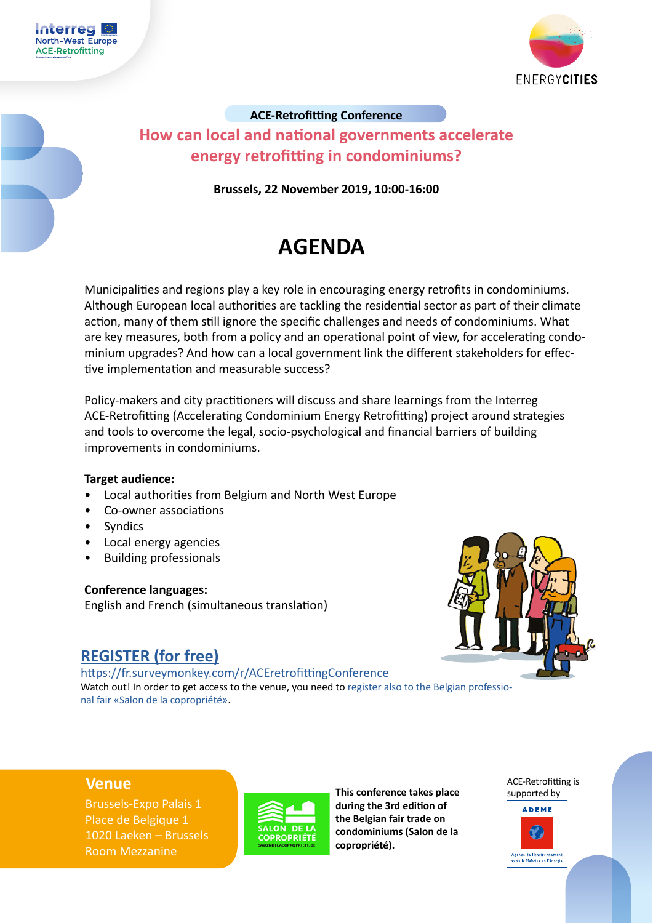



# **ACE-Retrofitting Conference How can local and national governments accelerate energy retrofitting in condominiums?**

**Brussels, 22 November 2019, 10:00-16:00**

# **AGENDA**

Municipalities and regions play a key role in encouraging energy retrofits in condominiums. Although European local authorities are tackling the residential sector as part of their climate action, many of them still ignore the specific challenges and needs of condominiums. What are key measures, both from a policy and an operational point of view, for accelerating condominium upgrades? And how can a local government link the different stakeholders for effective implementation and measurable success?

Policy-makers and city practitioners will discuss and share learnings from the Interreg ACE-Retrofitting (Accelerating Condominium Energy Retrofitting) project around strategies and tools to overcome the legal, socio-psychological and financial barriers of building improvements in condominiums.

### **Target audience:**

- Local authorities from Belgium and North West Europe
- Co-owner associations
- Syndics
- Local energy agencies
- Building professionals

### **Conference languages:**

English and French (simultaneous translation)



# **[REGISTER](https://www.nweurope.eu/projects/project-search/accelerating-condominium-energy-retrofitting-ace-retrofitting/events/ace-retrofitting-final-conference-how-can-local-and-national-governments-accelerate-energy-retrofitting-in-condominiums/) (for free)**

[https://fr.surveymonkey.com/r/ACEretrofittingConference](https://fr.surveymonkey.com/r/ACEretrofittingConference ) Watch out! In order to get access to the venue, you need to [register also to the Belgian professio](https://www.tickoinvite.be/fr/copro-medeeigendom/2019/register?lang=fr)[nal fair «Salon de la copropriété».](https://www.tickoinvite.be/fr/copro-medeeigendom/2019/register?lang=fr)

Brussels-Expo Palais 1 Place de Belgique 1 1020 Laeken – Brussels Room Mezzanine



**Venue This conference takes place during the 3rd edition of the Belgian fair trade on condominiums (Salon de la copropriété).** 

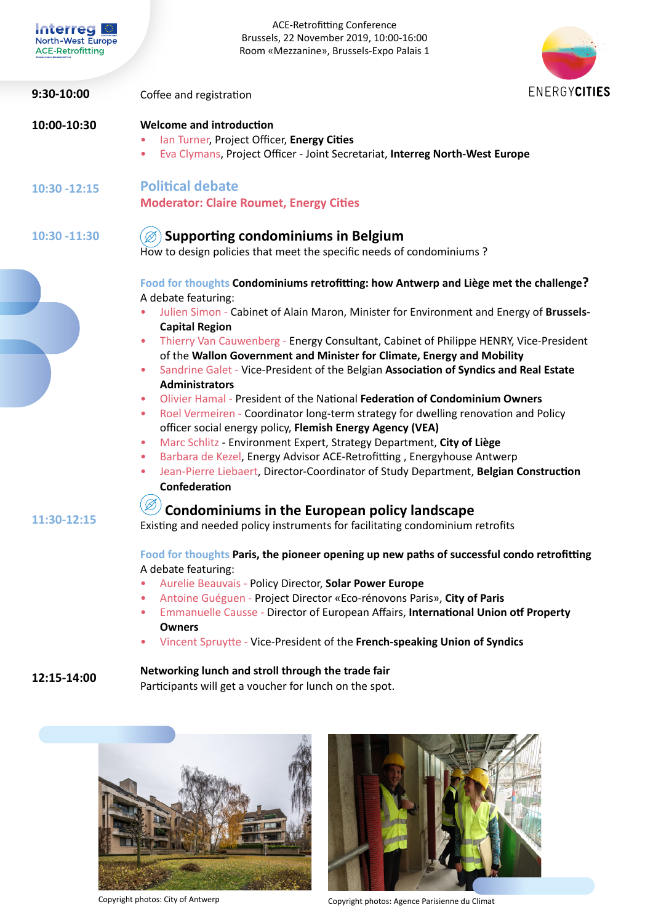| <b>Interred</b><br><b>North-West Europe</b><br><b>ACE-Retrofitting</b> | <b>ACE-Retrofitting Conference</b><br>Brussels, 22 November 2019, 10:00-16:00<br>Room «Mezzanine», Brussels-Expo Palais 1                                                                                                                                                                                                                                                                                                                                                                                                                                                                                                                                                                                                                                                                                                                                                                                                                                                                                                                                                |
|------------------------------------------------------------------------|--------------------------------------------------------------------------------------------------------------------------------------------------------------------------------------------------------------------------------------------------------------------------------------------------------------------------------------------------------------------------------------------------------------------------------------------------------------------------------------------------------------------------------------------------------------------------------------------------------------------------------------------------------------------------------------------------------------------------------------------------------------------------------------------------------------------------------------------------------------------------------------------------------------------------------------------------------------------------------------------------------------------------------------------------------------------------|
| 9:30-10:00                                                             | ENERGYCITIES<br>Coffee and registration                                                                                                                                                                                                                                                                                                                                                                                                                                                                                                                                                                                                                                                                                                                                                                                                                                                                                                                                                                                                                                  |
| 10:00-10:30                                                            | <b>Welcome and introduction</b><br>lan Turner, Project Officer, Energy Cities<br>Eva Clymans, Project Officer - Joint Secretariat, Interreg North-West Europe<br>٠                                                                                                                                                                                                                                                                                                                                                                                                                                                                                                                                                                                                                                                                                                                                                                                                                                                                                                       |
| $10:30 - 12:15$                                                        | <b>Political debate</b><br><b>Moderator: Claire Roumet, Energy Cities</b>                                                                                                                                                                                                                                                                                                                                                                                                                                                                                                                                                                                                                                                                                                                                                                                                                                                                                                                                                                                                |
| 10:30 -11:30                                                           | <b>Supporting condominiums in Belgium</b><br>How to design policies that meet the specific needs of condominiums?                                                                                                                                                                                                                                                                                                                                                                                                                                                                                                                                                                                                                                                                                                                                                                                                                                                                                                                                                        |
|                                                                        | Food for thoughts Condominiums retrofitting: how Antwerp and Liège met the challenge?<br>A debate featuring:<br>Julien Simon - Cabinet of Alain Maron, Minister for Environment and Energy of Brussels-<br><b>Capital Region</b><br>Thierry Van Cauwenberg - Energy Consultant, Cabinet of Philippe HENRY, Vice-President<br>$\bullet$<br>of the Wallon Government and Minister for Climate, Energy and Mobility<br>Sandrine Galet - Vice-President of the Belgian Association of Syndics and Real Estate<br>۰<br><b>Administrators</b><br>Olivier Hamal - President of the National Federation of Condominium Owners<br>۰<br>Roel Vermeiren - Coordinator long-term strategy for dwelling renovation and Policy<br>$\bullet$<br>officer social energy policy, Flemish Energy Agency (VEA)<br>Marc Schlitz - Environment Expert, Strategy Department, City of Liège<br>Barbara de Kezel, Energy Advisor ACE-Retrofitting, Energyhouse Antwerp<br>$\bullet$<br>Jean-Pierre Liebaert, Director-Coordinator of Study Department, Belgian Construction<br>۰<br>Confederation |
| 11:30-12:15                                                            | Ø<br><b>Condominiums in the European policy landscape</b><br>Existing and needed policy instruments for facilitating condominium retrofits<br>Food for thoughts Paris, the pioneer opening up new paths of successful condo retrofitting<br>A debate featuring:<br>Aurelie Beauvais - Policy Director, Solar Power Europe<br>Antoine Guéguen - Project Director «Eco-rénovons Paris», City of Paris<br>۰<br>Emmanuelle Causse - Director of European Affairs, International Union otf Property<br>$\bullet$<br><b>Owners</b><br>Vincent Spruytte - Vice-President of the French-speaking Union of Syndics<br>۰                                                                                                                                                                                                                                                                                                                                                                                                                                                           |
| 12:15-14:00                                                            | Networking lunch and stroll through the trade fair                                                                                                                                                                                                                                                                                                                                                                                                                                                                                                                                                                                                                                                                                                                                                                                                                                                                                                                                                                                                                       |

Participants will get a voucher for lunch on the spot.





Copyright photos: City of Antwerp Copyright photos: Agence Parisienne du Climat